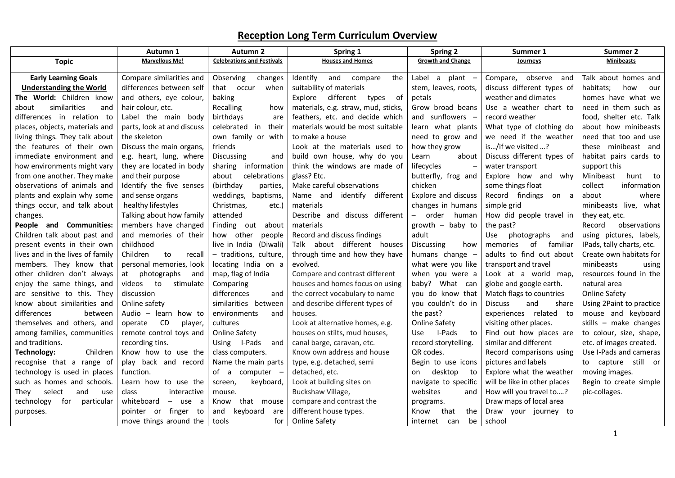|                                  | Autumn 1                   | Autumn 2                          | Spring 1                            | <b>Spring 2</b><br>Summer 1 |                                | Summer 2                  |
|----------------------------------|----------------------------|-----------------------------------|-------------------------------------|-----------------------------|--------------------------------|---------------------------|
| <b>Topic</b>                     | <b>Marvellous Me!</b>      | <b>Celebrations and Festivals</b> | <b>Houses and Homes</b>             | <b>Growth and Change</b>    | Journeys                       | <b>Minibeasts</b>         |
|                                  |                            |                                   |                                     |                             |                                |                           |
| <b>Early Learning Goals</b>      | Compare similarities and   | Observing<br>changes              | Identify<br>and<br>compare<br>the   | Label a plant -             | observe<br>Compare,<br>and     | Talk about homes and      |
| <b>Understanding the World</b>   | differences between self   | that<br>occur<br>when             | suitability of materials            | stem, leaves, roots,        | discuss different types of     | habitats;<br>how<br>our   |
| The World: Children know         | and others, eye colour,    | baking                            | different<br>Explore<br>types<br>of | petals                      | weather and climates           | homes have what we        |
| similarities<br>about<br>and     | hair colour, etc.          | Recalling<br>how                  | materials, e.g. straw, mud, sticks, | Grow broad beans            | Use a weather chart to         | need in them such as      |
| differences in relation to       | Label the main body        | birthdays<br>are                  | feathers, etc. and decide which     | and sunflowers -            | record weather                 | food, shelter etc. Talk   |
| places, objects, materials and   | parts, look at and discuss | celebrated in<br>their            | materials would be most suitable    | learn what plants           | What type of clothing do       | about how minibeasts      |
| living things. They talk about   | the skeleton               | own family or with                | to make a house                     | need to grow and            | we need if the weather         | need that too and use     |
| the features of their own        | Discuss the main organs,   | friends                           | Look at the materials used to       | how they grow               | is/if we visited ?             | these minibeast and       |
| immediate environment and        | e.g. heart, lung, where    | Discussing<br>and                 | build own house, why do you         | Learn<br>about              | Discuss different types of     | habitat pairs cards to    |
| how environments might vary      | they are located in body   | information<br>sharing            | think the windows are made of       | lifecycles                  | water transport                | support this              |
| from one another. They make      | and their purpose          | about<br>celebrations             | glass? Etc.                         | butterfly, frog and         | Explore how and<br>whv         | Minibeast<br>hunt to      |
| observations of animals and      | Identify the five senses   | (birthday<br>parties,             | Make careful observations           | chicken                     | some things float              | collect<br>information    |
| plants and explain why some      | and sense organs           | weddings, baptisms,               | Name and identify different         | Explore and discuss         | Record findings<br>on a        | where<br>about            |
| things occur, and talk about     | healthy lifestyles         | Christmas,<br>etc.)               | materials                           | changes in humans           | simple grid                    | minibeasts live, what     |
| changes.                         | Talking about how family   | attended                          | Describe and discuss different      | order<br>$-$<br>human       | How did people travel in       | they eat, etc.            |
| People and Communities:          | members have changed       | Finding out<br>about              | materials                           | growth $-$ baby to          | the past?                      | Record<br>observations    |
| Children talk about past and     | and memories of their      | how other<br>people               | Record and discuss findings         | adult                       | photographs<br>Use<br>and      | using pictures, labels,   |
| present events in their own      | childhood                  | live in India (Diwali)            | Talk about different houses         | <b>Discussing</b><br>how    | memories<br>of<br>familiar     | IPads, tally charts, etc. |
| lives and in the lives of family | Children<br>to<br>recall   | - traditions, culture,            | through time and how they have      | humans change -             | adults to find out about       | Create own habitats for   |
| members. They know that          | personal memories, look    | locating India on a               | evolved.                            | what were you like          | transport and travel           | minibeasts<br>using       |
| other children don't always      | photographs<br>at<br>and   | map, flag of India                | Compare and contrast different      | when you were a             | Look at a world map,           | resources found in the    |
| enjoy the same things, and       | videos to<br>stimulate     | Comparing                         | houses and homes focus on using     | baby? What can              | globe and google earth.        | natural area              |
| are sensitive to this. They      | discussion                 | differences<br>and                | the correct vocabulary to name      | you do know that            | Match flags to countries       | <b>Online Safety</b>      |
| know about similarities and      | Online safety              | similarities between              | and describe different types of     | you couldn't do in          | and<br><b>Discuss</b><br>share | Using 2Paint to practice  |
| differences<br>between           | Audio – learn how to       | environments<br>and               | houses.                             | the past?                   | experiences related to         | mouse and keyboard        |
| themselves and others, and       | CD<br>operate<br>player,   | cultures                          | Look at alternative homes, e.g.     | Online Safety               | visiting other places.         | skills $-$ make changes   |
| among families, communities      | remote control toys and    | <b>Online Safety</b>              | houses on stilts, mud houses,       | I-Pads<br>Use<br>to         | Find out how places are        | to colour, size, shape,   |
| and traditions.                  | recording tins.            | Using I-Pads<br>and               | canal barge, caravan, etc.          | record storytelling.        | similar and different          | etc. of images created.   |
| Children<br>Technology:          | Know how to use the        | class computers.                  | Know own address and house          | QR codes.                   | Record comparisons using       | Use I-Pads and cameras    |
| recognise that a range of        | play back and record       | Name the main parts               | type, e.g. detached, semi           | Begin to use icons          | pictures and labels            | to capture still or       |
| technology is used in places     | function.                  | of a computer $-$                 | detached, etc.                      | desktop<br>on<br>to         | Explore what the weather       | moving images.            |
| such as homes and schools.       | Learn how to use the       | screen,<br>keyboard,              | Look at building sites on           | navigate to specific        | will be like in other places   | Begin to create simple    |
| select<br>and<br>Thev<br>use     | class<br>interactive       | mouse.                            | Buckshaw Village,                   | websites<br>and             | How will you travel to?        | pic-collages.             |
| for<br>technology<br>particular  | whiteboard<br>$-$ use a    | that mouse<br>Know                | compare and contrast the            | programs.                   | Draw maps of local area        |                           |
| purposes.                        | pointer or finger to       | and<br>keyboard are               | different house types.              | Know<br>that<br>the         | Draw your journey to           |                           |
|                                  | move things around the     | tools<br>for                      | <b>Online Safety</b>                | be<br>internet can          | school                         |                           |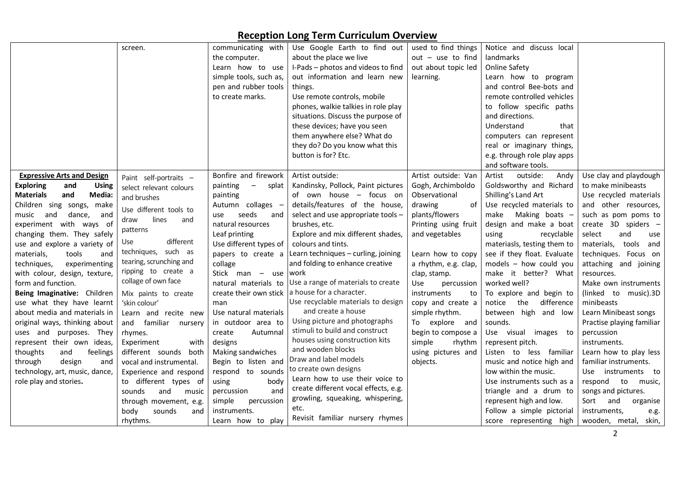|                                         | screen.                  | communicating with                            | Use Google Earth to find out                     | used to find things      | Notice and discuss local    |                           |
|-----------------------------------------|--------------------------|-----------------------------------------------|--------------------------------------------------|--------------------------|-----------------------------|---------------------------|
|                                         |                          | the computer.                                 | about the place we live                          | $out - use to find$      | landmarks                   |                           |
|                                         |                          | Learn how to use                              | I-Pads - photos and videos to find               | out about topic led      | <b>Online Safety</b>        |                           |
|                                         |                          | simple tools, such as,                        | out information and learn new                    | learning.                | Learn how to program        |                           |
|                                         |                          | pen and rubber tools                          | things.                                          |                          | and control Bee-bots and    |                           |
|                                         |                          | to create marks.                              | Use remote controls, mobile                      |                          | remote controlled vehicles  |                           |
|                                         |                          |                                               | phones, walkie talkies in role play              |                          | to follow specific paths    |                           |
|                                         |                          |                                               | situations. Discuss the purpose of               |                          | and directions.             |                           |
|                                         |                          |                                               | these devices; have you seen                     |                          | Understand<br>that          |                           |
|                                         |                          |                                               | them anywhere else? What do                      |                          | computers can represent     |                           |
|                                         |                          |                                               | they do? Do you know what this                   |                          | real or imaginary things,   |                           |
|                                         |                          |                                               | button is for? Etc.                              |                          | e.g. through role play apps |                           |
|                                         |                          |                                               |                                                  |                          | and software tools.         |                           |
| <b>Expressive Arts and Design</b>       | Paint self-portraits -   | Bonfire and firework                          | Artist outside:                                  | Artist outside: Van      | Artist<br>outside:<br>Andy  | Use clay and playdough    |
| <b>Exploring</b><br>and<br><b>Using</b> | select relevant colours  | $\overline{\phantom{m}}$<br>painting<br>splat | Kandinsky, Pollock, Paint pictures               | Gogh, Archimboldo        | Goldsworthy and Richard     | to make minibeasts        |
| and<br><b>Materials</b><br>Media:       | and brushes              | painting                                      | of own house - focus on                          | Observational            | Shilling's Land Art         | Use recycled materials    |
| Children sing songs, make               | Use different tools to   | Autumn collages -                             | details/features of the house,                   | of<br>drawing            | Use recycled materials to   | and other resources,      |
| music and<br>dance, and                 | draw<br>lines<br>and     | seeds<br>and<br>use                           | select and use appropriate tools -               | plants/flowers           | make<br>Making boats -      | such as pom poms to       |
| experiment with ways of                 |                          | natural resources                             | brushes, etc.                                    | Printing using fruit     | design and make a boat      | create 3D spiders -       |
| changing them. They safely              | patterns                 | Leaf printing                                 | Explore and mix different shades,                | and vegetables           | using<br>recyclable         | select<br>and<br>use      |
| use and explore a variety of            | different<br>Use         | Use different types of                        | colours and tints.                               |                          | materiasls, testing them to | materials, tools and      |
| materials,<br>tools<br>and              | techniques, such as      | papers to create a                            | Learn techniques - curling, joining              | Learn how to copy        | see if they float. Evaluate | techniques. Focus on      |
| experimenting<br>techniques,            | tearing, scrunching and  | collage                                       | and folding to enhance creative                  | a rhythm, e.g. clap,     | models - how could you      | attaching and joining     |
| with colour, design, texture,           | ripping to create a      | Stick man $-$ use work                        |                                                  | clap, stamp.             | make it better? What        | resources.                |
| form and function.                      | collage of own face      | natural materials to                          | Use a range of materials to create               | Use<br>percussion        | worked well?                | Make own instruments      |
| Being Imaginative: Children             | Mix paints to create     |                                               | create their own stick  a house for a character. | <i>instruments</i><br>to | To explore and begin to     | (linked to music).3D      |
| use what they have learnt               | 'skin colour'            | man                                           | Use recyclable materials to design               | copy and create a        | difference<br>notice<br>the | minibeasts                |
| about media and materials in            | Learn and recite new     | Use natural materials                         | and create a house                               | simple rhythm.           | between high and low        | Learn Minibeast songs     |
| original ways, thinking about           | and familiar nursery     | in outdoor area to                            | Using picture and photographs                    | To explore and           | sounds.                     | Practise playing familiar |
| uses and purposes. They                 | rhymes.                  | Autumnal<br>create                            | stimuli to build and construct                   | begin to compose a       | Use visual images to        | percussion                |
| represent their own ideas,              | Experiment<br>with       | designs                                       | houses using construction kits                   | simple<br>rhythm         | represent pitch.            | instruments.              |
| thoughts<br>feelings<br>and             | different sounds<br>both | Making sandwiches                             | and wooden blocks                                | using pictures and       | Listen to less familiar     | Learn how to play less    |
| design<br>through<br>and                | vocal and instrumental.  | Begin to listen and                           | Draw and label models                            | objects.                 | music and notice high and   | familiar instruments.     |
| technology, art, music, dance,          | Experience and respond   | respond to sounds                             | to create own designs                            |                          | low within the music.       | Use instruments to        |
| role play and stories.                  | to different types of    | using<br>body                                 | Learn how to use their voice to                  |                          | Use instruments such as a   | respond to<br>music,      |
|                                         | sounds<br>and<br>music   | percussion<br>and                             | create different vocal effects, e.g.             |                          | triangle and a drum to      | songs and pictures.       |
|                                         | through movement, e.g.   | percussion<br>simple                          | growling, squeaking, whispering,                 |                          | represent high and low.     | Sort<br>and<br>organise   |
|                                         | body<br>sounds<br>and    | instruments.                                  | etc.                                             |                          | Follow a simple pictorial   | instruments,<br>e.g.      |
|                                         | rhythms.                 | Learn how to play                             | Revisit familiar nursery rhymes                  |                          | score representing high     | wooden, metal, skin,      |

2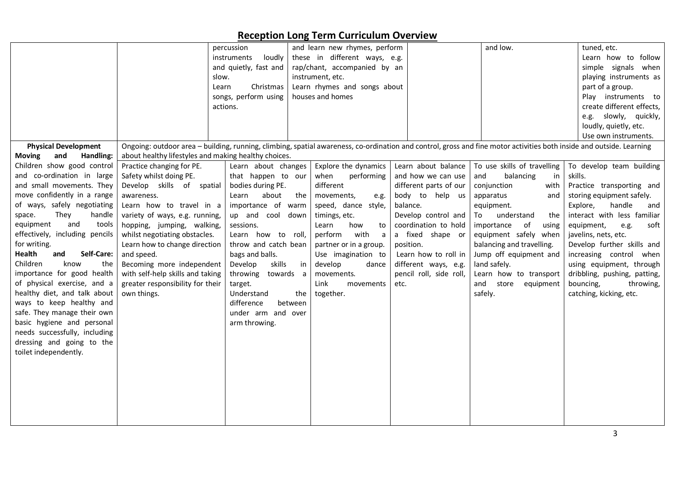|                                    |                                                                                                                                                                      | percussion            |         | and learn new rhymes, perform            |          |                         | and low.                    |           | tuned, etc.                  |
|------------------------------------|----------------------------------------------------------------------------------------------------------------------------------------------------------------------|-----------------------|---------|------------------------------------------|----------|-------------------------|-----------------------------|-----------|------------------------------|
|                                    |                                                                                                                                                                      | instruments<br>loudly |         | these in different ways, e.g.            |          |                         |                             |           | Learn how to follow          |
|                                    |                                                                                                                                                                      | and quietly, fast and |         | rap/chant, accompanied by an             |          |                         |                             |           | simple signals when          |
|                                    |                                                                                                                                                                      | slow.                 |         | instrument, etc.                         |          |                         |                             |           | playing instruments as       |
|                                    |                                                                                                                                                                      | Christmas<br>Learn    |         | Learn rhymes and songs about             |          |                         |                             |           | part of a group.             |
|                                    |                                                                                                                                                                      | songs, perform using  |         | houses and homes                         |          |                         |                             |           | Play instruments to          |
|                                    |                                                                                                                                                                      | actions.              |         |                                          |          |                         |                             |           | create different effects,    |
|                                    |                                                                                                                                                                      |                       |         |                                          |          |                         |                             |           | e.g. slowly, quickly,        |
|                                    |                                                                                                                                                                      |                       |         |                                          |          |                         |                             |           | loudly, quietly, etc.        |
|                                    |                                                                                                                                                                      |                       |         |                                          |          |                         |                             |           | Use own instruments.         |
| <b>Physical Development</b>        | Ongoing: outdoor area - building, running, climbing, spatial awareness, co-ordination and control, gross and fine motor activities both inside and outside. Learning |                       |         |                                          |          |                         |                             |           |                              |
| and<br>Handling:<br>Moving         | about healthy lifestyles and making healthy choices.                                                                                                                 |                       |         |                                          |          |                         |                             |           |                              |
| Children show good control         | Practice changing for PE.                                                                                                                                            | Learn about changes   |         | Explore the dynamics                     |          | Learn about balance     | To use skills of travelling |           | To develop team building     |
| and co-ordination in large         | Safety whilst doing PE.                                                                                                                                              | that happen to our    |         | performing<br>when                       |          | and how we can use      | balancing<br>and            | in        | skills.                      |
| and small movements. They          | Develop skills of spatial                                                                                                                                            | bodies during PE.     |         | different                                |          | different parts of our  | conjunction                 | with      | Practice transporting and    |
| move confidently in a range        | awareness.                                                                                                                                                           | about<br>Learn        | the     | movements,<br>e.g.                       |          | body to help us         | apparatus                   | and       | storing equipment safely.    |
| of ways, safely negotiating        | Learn how to travel in $a$                                                                                                                                           | importance of warm    |         | speed, dance style,                      | balance. |                         | equipment.                  |           | handle<br>Explore,<br>and    |
| They<br>space.<br>handle           | variety of ways, e.g. running,                                                                                                                                       | up and cool down      |         | timings, etc.                            |          | Develop control and     | understand<br>To            | the       | interact with less familiar  |
| and<br>equipment<br>tools          | hopping, jumping, walking,                                                                                                                                           | sessions.             |         | Learn<br>how<br>to                       |          | coordination to hold    | of<br>importance            |           | soft<br>equipment,           |
| effectively, including pencils     | whilst negotiating obstacles.                                                                                                                                        | Learn how to roll,    |         | with<br>perform                          |          | a fixed shape or        | equipment safely when       | using     | e.g.<br>javelins, nets, etc. |
| for writing.                       | Learn how to change direction                                                                                                                                        | throw and catch bean  |         | $\overline{a}$<br>partner or in a group. |          | position.               | balancing and travelling.   |           | Develop further skills and   |
| <b>Health</b><br>Self-Care:<br>and |                                                                                                                                                                      | bags and balls.       |         |                                          |          | Learn how to roll in    |                             |           |                              |
| Children<br>know<br>the            | and speed.<br>Becoming more independent                                                                                                                              |                       |         | Use imagination to                       |          |                         | Jump off equipment and      |           | increasing control when      |
| importance for good health         |                                                                                                                                                                      | Develop<br>skills     | in      | develop<br>dance                         |          | different ways, e.g.    | land safely.                |           | using equipment, through     |
|                                    | with self-help skills and taking                                                                                                                                     | throwing towards a    |         | movements.                               |          | pencil roll, side roll, | Learn how to transport      |           | dribbling, pushing, patting, |
| of physical exercise, and a        | greater responsibility for their                                                                                                                                     | target.               |         | Link<br>movements                        | etc.     |                         | and store                   | equipment | bouncing,<br>throwing,       |
| healthy diet, and talk about       | own things.                                                                                                                                                          | Understand            | the     | together.                                |          |                         | safely.                     |           | catching, kicking, etc.      |
| ways to keep healthy and           |                                                                                                                                                                      | difference            | between |                                          |          |                         |                             |           |                              |
| safe. They manage their own        |                                                                                                                                                                      | under arm and over    |         |                                          |          |                         |                             |           |                              |
| basic hygiene and personal         |                                                                                                                                                                      | arm throwing.         |         |                                          |          |                         |                             |           |                              |
| needs successfully, including      |                                                                                                                                                                      |                       |         |                                          |          |                         |                             |           |                              |
| dressing and going to the          |                                                                                                                                                                      |                       |         |                                          |          |                         |                             |           |                              |
| toilet independently.              |                                                                                                                                                                      |                       |         |                                          |          |                         |                             |           |                              |
|                                    |                                                                                                                                                                      |                       |         |                                          |          |                         |                             |           |                              |
|                                    |                                                                                                                                                                      |                       |         |                                          |          |                         |                             |           |                              |
|                                    |                                                                                                                                                                      |                       |         |                                          |          |                         |                             |           |                              |
|                                    |                                                                                                                                                                      |                       |         |                                          |          |                         |                             |           |                              |
|                                    |                                                                                                                                                                      |                       |         |                                          |          |                         |                             |           |                              |
|                                    |                                                                                                                                                                      |                       |         |                                          |          |                         |                             |           |                              |
|                                    |                                                                                                                                                                      |                       |         |                                          |          |                         |                             |           |                              |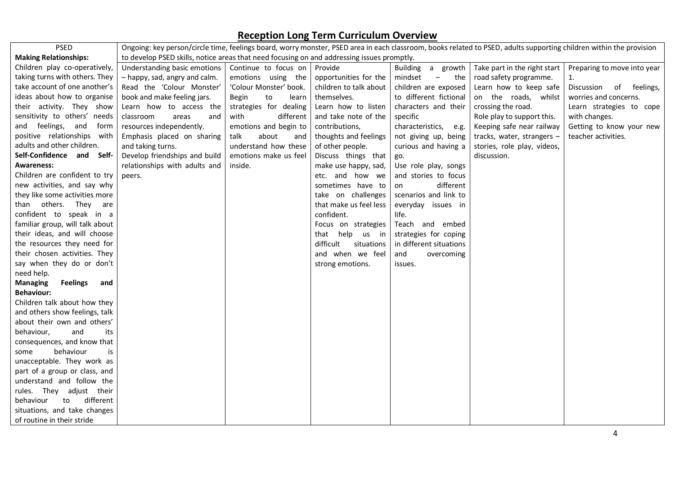| <b>PSED</b>                               | Ongoing: key person/circle time, feelings board, worry monster, PSED area in each classroom, books related to PSED, adults supporting children within the provision |                        |                         |                              |                              |                             |  |
|-------------------------------------------|---------------------------------------------------------------------------------------------------------------------------------------------------------------------|------------------------|-------------------------|------------------------------|------------------------------|-----------------------------|--|
| <b>Making Relationships:</b>              | to develop PSED skills, notice areas that need focusing on and addressing issues promptly.                                                                          |                        |                         |                              |                              |                             |  |
| Children play co-operatively,             | Understanding basic emotions                                                                                                                                        | Continue to focus on   | Provide                 | Building a growth            | Take part in the right start | Preparing to move into year |  |
| taking turns with others. They            | - happy, sad, angry and calm.                                                                                                                                       | emotions using the     | opportunities for the   | mindset<br>$\sim$ $-$<br>the | road safety programme.       | 1.                          |  |
| take account of one another's             | Read the 'Colour Monster'                                                                                                                                           | 'Colour Monster' book. | children to talk about  | children are exposed         | Learn how to keep safe       | Discussion of feelings,     |  |
| ideas about how to organise               | book and make feeling jars.                                                                                                                                         | Begin<br>to<br>learn   | themselves.             | to different fictional       | on the roads, whilst         | worries and concerns.       |  |
| their activity. They show                 | Learn how to access the                                                                                                                                             | strategies for dealing | Learn how to listen     | characters and their         | crossing the road.           | Learn strategies to cope    |  |
| sensitivity to others' needs              | classroom<br>areas<br>and                                                                                                                                           | with<br>different      | and take note of the    | specific                     | Role play to support this.   | with changes.               |  |
| and feelings, and<br>form                 | resources independently.                                                                                                                                            | emotions and begin to  | contributions,          | characteristics,<br>e.g.     | Keeping safe near railway    | Getting to know your new    |  |
| positive relationships with               | Emphasis placed on sharing                                                                                                                                          | about<br>talk<br>and   | thoughts and feelings   | not giving up, being         | tracks, water, strangers -   | teacher activities.         |  |
| adults and other children.                | and taking turns.                                                                                                                                                   | understand how these   | of other people.        | curious and having a         | stories, role play, videos,  |                             |  |
| Self-Confidence and Self-                 | Develop friendships and build                                                                                                                                       | emotions make us feel  | Discuss things that     | go.                          | discussion.                  |                             |  |
| <b>Awareness:</b>                         | relationships with adults and                                                                                                                                       | inside.                | make use happy, sad,    | Use role play, songs         |                              |                             |  |
| Children are confident to try             | peers.                                                                                                                                                              |                        | etc. and how we         | and stories to focus         |                              |                             |  |
| new activities, and say why               |                                                                                                                                                                     |                        | sometimes have to       | different<br>on              |                              |                             |  |
| they like some activities more            |                                                                                                                                                                     |                        | take on challenges      | scenarios and link to        |                              |                             |  |
| than others. They are                     |                                                                                                                                                                     |                        | that make us feel less  | everyday issues in           |                              |                             |  |
| confident to speak in a                   |                                                                                                                                                                     |                        | confident.              | life.                        |                              |                             |  |
| familiar group, will talk about           |                                                                                                                                                                     |                        | Focus on strategies     | Teach and embed              |                              |                             |  |
| their ideas, and will choose              |                                                                                                                                                                     |                        | that help<br>us in      | strategies for coping        |                              |                             |  |
| the resources they need for               |                                                                                                                                                                     |                        | difficult<br>situations | in different situations      |                              |                             |  |
| their chosen activities. They             |                                                                                                                                                                     |                        | and when we feel        | and<br>overcoming            |                              |                             |  |
| say when they do or don't                 |                                                                                                                                                                     |                        | strong emotions.        | issues.                      |                              |                             |  |
| need help.                                |                                                                                                                                                                     |                        |                         |                              |                              |                             |  |
| <b>Feelings</b><br><b>Managing</b><br>and |                                                                                                                                                                     |                        |                         |                              |                              |                             |  |
| <b>Behaviour:</b>                         |                                                                                                                                                                     |                        |                         |                              |                              |                             |  |
| Children talk about how they              |                                                                                                                                                                     |                        |                         |                              |                              |                             |  |
| and others show feelings, talk            |                                                                                                                                                                     |                        |                         |                              |                              |                             |  |
| about their own and others'               |                                                                                                                                                                     |                        |                         |                              |                              |                             |  |
| behaviour,<br>and<br>its                  |                                                                                                                                                                     |                        |                         |                              |                              |                             |  |
| consequences, and know that               |                                                                                                                                                                     |                        |                         |                              |                              |                             |  |
| behaviour<br>is<br>some                   |                                                                                                                                                                     |                        |                         |                              |                              |                             |  |
| unacceptable. They work as                |                                                                                                                                                                     |                        |                         |                              |                              |                             |  |
| part of a group or class, and             |                                                                                                                                                                     |                        |                         |                              |                              |                             |  |
| understand and follow the                 |                                                                                                                                                                     |                        |                         |                              |                              |                             |  |
| rules. They adjust their                  |                                                                                                                                                                     |                        |                         |                              |                              |                             |  |
| behaviour<br>different<br>to              |                                                                                                                                                                     |                        |                         |                              |                              |                             |  |
| situations, and take changes              |                                                                                                                                                                     |                        |                         |                              |                              |                             |  |
| of routine in their stride                |                                                                                                                                                                     |                        |                         |                              |                              |                             |  |